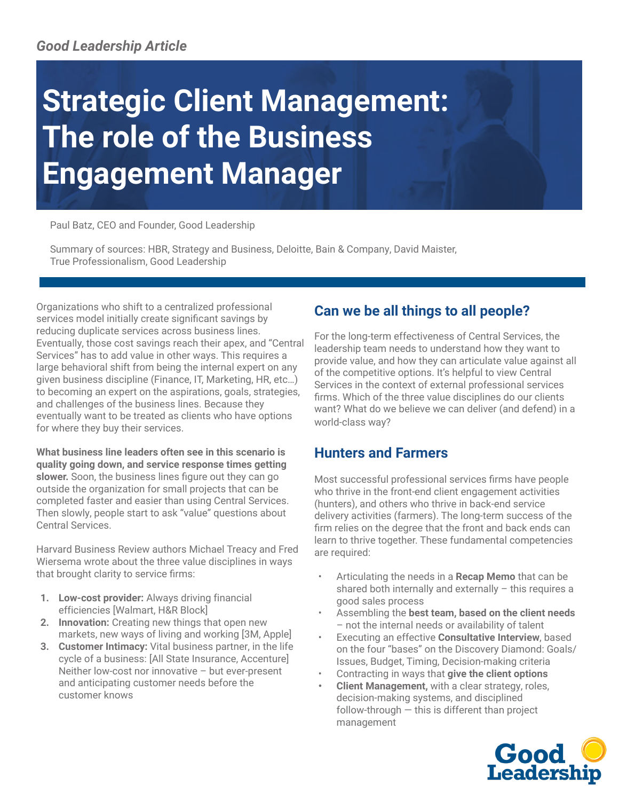## *Good Leadership Article*

# **Strategic Client Management: The role of the Business Engagement Manager**

Paul Batz, CEO and Founder, Good Leadership

Summary of sources: HBR, Strategy and Business, Deloitte, Bain & Company, David Maister, True Professionalism, Good Leadership

Organizations who shift to a centralized professional services model initially create significant savings by reducing duplicate services across business lines. Eventually, those cost savings reach their apex, and "Central Services" has to add value in other ways. This requires a large behavioral shift from being the internal expert on any given business discipline (Finance, IT, Marketing, HR, etc…) to becoming an expert on the aspirations, goals, strategies, and challenges of the business lines. Because they eventually want to be treated as clients who have options for where they buy their services.

**What business line leaders often see in this scenario is quality going down, and service response times getting slower.** Soon, the business lines figure out they can go outside the organization for small projects that can be completed faster and easier than using Central Services. Then slowly, people start to ask "value" questions about Central Services.

Harvard Business Review authors Michael Treacy and Fred Wiersema wrote about the three value disciplines in ways that brought clarity to service firms:

- **1. Low-cost provider:** Always driving financial efficiencies [Walmart, H&R Block]
- **2. Innovation:** Creating new things that open new markets, new ways of living and working [3M, Apple]
- **3. Customer Intimacy:** Vital business partner, in the life cycle of a business: [All State Insurance, Accenture] Neither low-cost nor innovative – but ever-present and anticipating customer needs before the customer knows

## **Can we be all things to all people?**

For the long-term effectiveness of Central Services, the leadership team needs to understand how they want to provide value, and how they can articulate value against all of the competitive options. It's helpful to view Central Services in the context of external professional services firms. Which of the three value disciplines do our clients want? What do we believe we can deliver (and defend) in a world-class way?

## **Hunters and Farmers**

Most successful professional services firms have people who thrive in the front-end client engagement activities (hunters), and others who thrive in back-end service delivery activities (farmers). The long-term success of the firm relies on the degree that the front and back ends can learn to thrive together. These fundamental competencies are required:

- Articulating the needs in a **Recap Memo** that can be shared both internally and externally – this requires a good sales process
- Assembling the **best team, based on the client needs** – not the internal needs or availability of talent
- Executing an effective **Consultative Interview**, based on the four "bases" on the Discovery Diamond: Goals/ Issues, Budget, Timing, Decision-making criteria
- Contracting in ways that **give the client options**
- **• Client Management,** with a clear strategy, roles, decision-making systems, and disciplined follow-through — this is different than project management